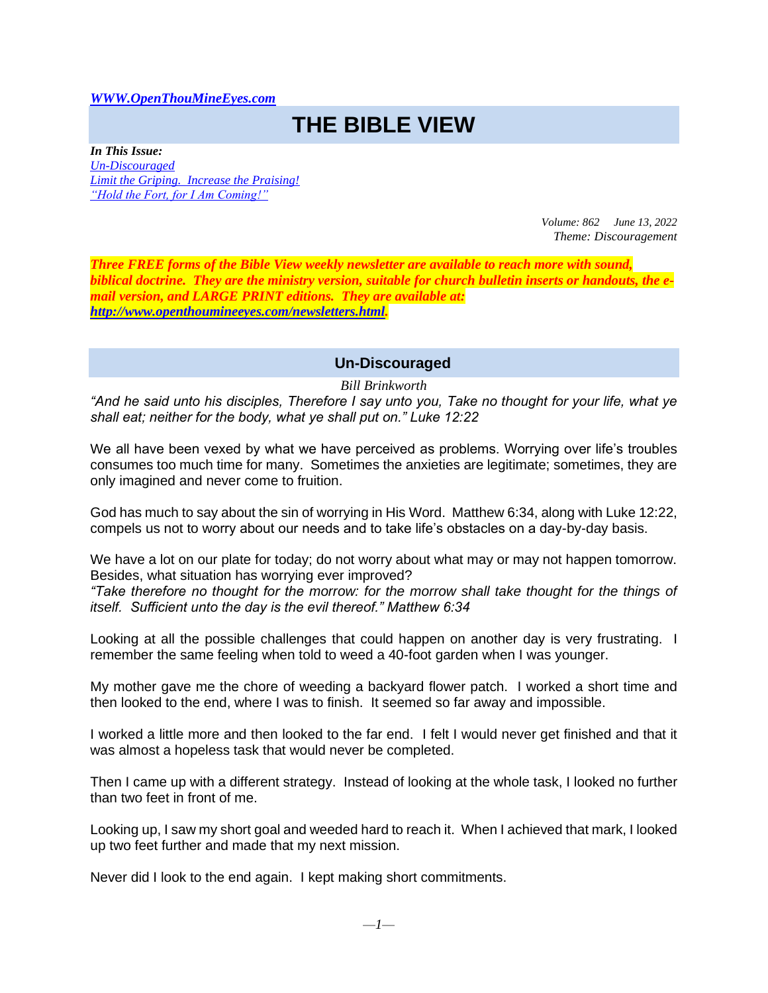#### *[WWW.OpenThouMineEyes.com](http://www.openthoumineeyes.com/)*

# **THE BIBLE VIEW**

*In This Issue: [Un-Discouraged](#page-0-0) [Limit the Griping. Increase the Praising!](#page-1-0) ["Hold the Fort, for I Am Coming!"](#page-2-0)*

> *Volume: 862 June 13, 2022 Theme: Discouragement*

*Three FREE forms of the Bible View weekly newsletter are available to reach more with sound, biblical doctrine. They are the ministry version, suitable for church bulletin inserts or handouts, the email version, and LARGE PRINT editions. They are available at: [http://www.openthoumineeyes.com/newsletters.html.](http://www.openthoumineeyes.com/newsletters.html)* 

## **Un-Discouraged**

*Bill Brinkworth*

<span id="page-0-0"></span>*"And he said unto his disciples, Therefore I say unto you, Take no thought for your life, what ye shall eat; neither for the body, what ye shall put on." Luke 12:22* 

We all have been vexed by what we have perceived as problems. Worrying over life's troubles consumes too much time for many. Sometimes the anxieties are legitimate; sometimes, they are only imagined and never come to fruition.

God has much to say about the sin of worrying in His Word. Matthew 6:34, along with Luke 12:22, compels us not to worry about our needs and to take life's obstacles on a day-by-day basis.

We have a lot on our plate for today; do not worry about what may or may not happen tomorrow. Besides, what situation has worrying ever improved?

*"Take therefore no thought for the morrow: for the morrow shall take thought for the things of itself. Sufficient unto the day is the evil thereof." Matthew 6:34*

Looking at all the possible challenges that could happen on another day is very frustrating. I remember the same feeling when told to weed a 40-foot garden when I was younger.

My mother gave me the chore of weeding a backyard flower patch. I worked a short time and then looked to the end, where I was to finish. It seemed so far away and impossible.

I worked a little more and then looked to the far end. I felt I would never get finished and that it was almost a hopeless task that would never be completed.

Then I came up with a different strategy. Instead of looking at the whole task, I looked no further than two feet in front of me.

Looking up, I saw my short goal and weeded hard to reach it. When I achieved that mark, I looked up two feet further and made that my next mission.

Never did I look to the end again. I kept making short commitments.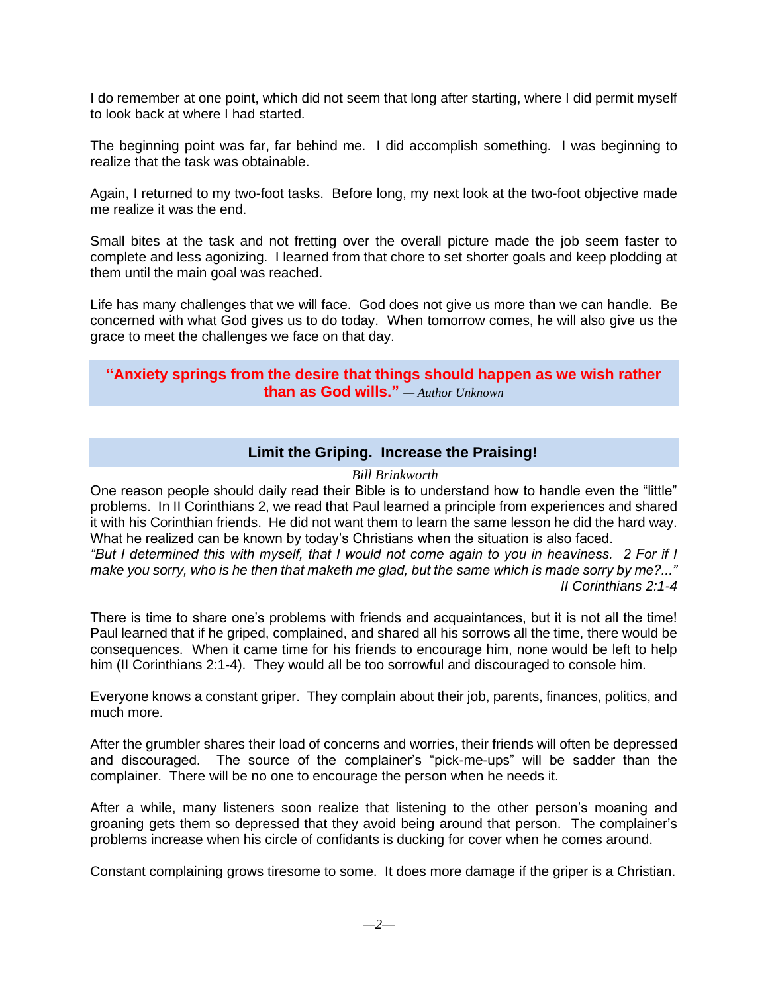I do remember at one point, which did not seem that long after starting, where I did permit myself to look back at where I had started.

The beginning point was far, far behind me. I did accomplish something. I was beginning to realize that the task was obtainable.

Again, I returned to my two-foot tasks. Before long, my next look at the two-foot objective made me realize it was the end.

Small bites at the task and not fretting over the overall picture made the job seem faster to complete and less agonizing. I learned from that chore to set shorter goals and keep plodding at them until the main goal was reached.

Life has many challenges that we will face. God does not give us more than we can handle. Be concerned with what God gives us to do today. When tomorrow comes, he will also give us the grace to meet the challenges we face on that day.

## **"Anxiety springs from the desire that things should happen as we wish rather than as God wills."** *— Author Unknown*

# **Limit the Griping. Increase the Praising!**

### *Bill Brinkworth*

<span id="page-1-0"></span>One reason people should daily read their Bible is to understand how to handle even the "little" problems. In II Corinthians 2, we read that Paul learned a principle from experiences and shared it with his Corinthian friends. He did not want them to learn the same lesson he did the hard way. What he realized can be known by today's Christians when the situation is also faced. *"But I determined this with myself, that I would not come again to you in heaviness. 2 For if I make you sorry, who is he then that maketh me glad, but the same which is made sorry by me?..."*

*II Corinthians 2:1-4*

There is time to share one's problems with friends and acquaintances, but it is not all the time! Paul learned that if he griped, complained, and shared all his sorrows all the time, there would be consequences. When it came time for his friends to encourage him, none would be left to help him (II Corinthians 2:1-4). They would all be too sorrowful and discouraged to console him.

Everyone knows a constant griper. They complain about their job, parents, finances, politics, and much more.

After the grumbler shares their load of concerns and worries, their friends will often be depressed and discouraged. The source of the complainer's "pick-me-ups" will be sadder than the complainer. There will be no one to encourage the person when he needs it.

After a while, many listeners soon realize that listening to the other person's moaning and groaning gets them so depressed that they avoid being around that person. The complainer's problems increase when his circle of confidants is ducking for cover when he comes around.

Constant complaining grows tiresome to some. It does more damage if the griper is a Christian.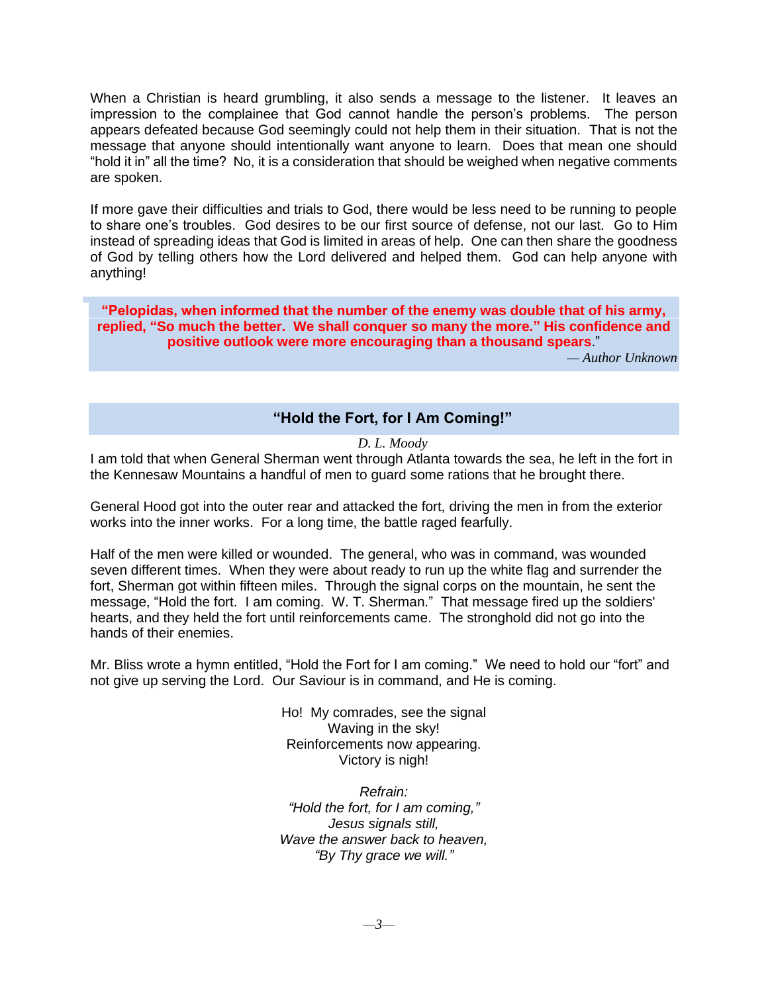When a Christian is heard grumbling, it also sends a message to the listener. It leaves an impression to the complainee that God cannot handle the person's problems. The person appears defeated because God seemingly could not help them in their situation. That is not the message that anyone should intentionally want anyone to learn. Does that mean one should "hold it in" all the time? No, it is a consideration that should be weighed when negative comments are spoken.

If more gave their difficulties and trials to God, there would be less need to be running to people to share one's troubles. God desires to be our first source of defense, not our last. Go to Him instead of spreading ideas that God is limited in areas of help. One can then share the goodness of God by telling others how the Lord delivered and helped them. God can help anyone with anything!

**"Pelopidas, when informed that the number of the enemy was double that of his army, replied, "So much the better. We shall conquer so many the more." His confidence and positive outlook were more encouraging than a thousand spears**."

*— Author Unknown*

## **"Hold the Fort, for I Am Coming!"**

#### *D. L. Moody*

<span id="page-2-0"></span>I am told that when General Sherman went through Atlanta towards the sea, he left in the fort in the Kennesaw Mountains a handful of men to guard some rations that he brought there.

General Hood got into the outer rear and attacked the fort, driving the men in from the exterior works into the inner works. For a long time, the battle raged fearfully.

Half of the men were killed or wounded. The general, who was in command, was wounded seven different times. When they were about ready to run up the white flag and surrender the fort, Sherman got within fifteen miles. Through the signal corps on the mountain, he sent the message, "Hold the fort. I am coming. W. T. Sherman." That message fired up the soldiers' hearts, and they held the fort until reinforcements came. The stronghold did not go into the hands of their enemies.

Mr. Bliss wrote a hymn entitled, "Hold the Fort for I am coming." We need to hold our "fort" and not give up serving the Lord. Our Saviour is in command, and He is coming.

> Ho! My comrades, see the signal Waving in the sky! Reinforcements now appearing. Victory is nigh!

> *Refrain: "Hold the fort, for I am coming," Jesus signals still, Wave the answer back to heaven, "By Thy grace we will."*